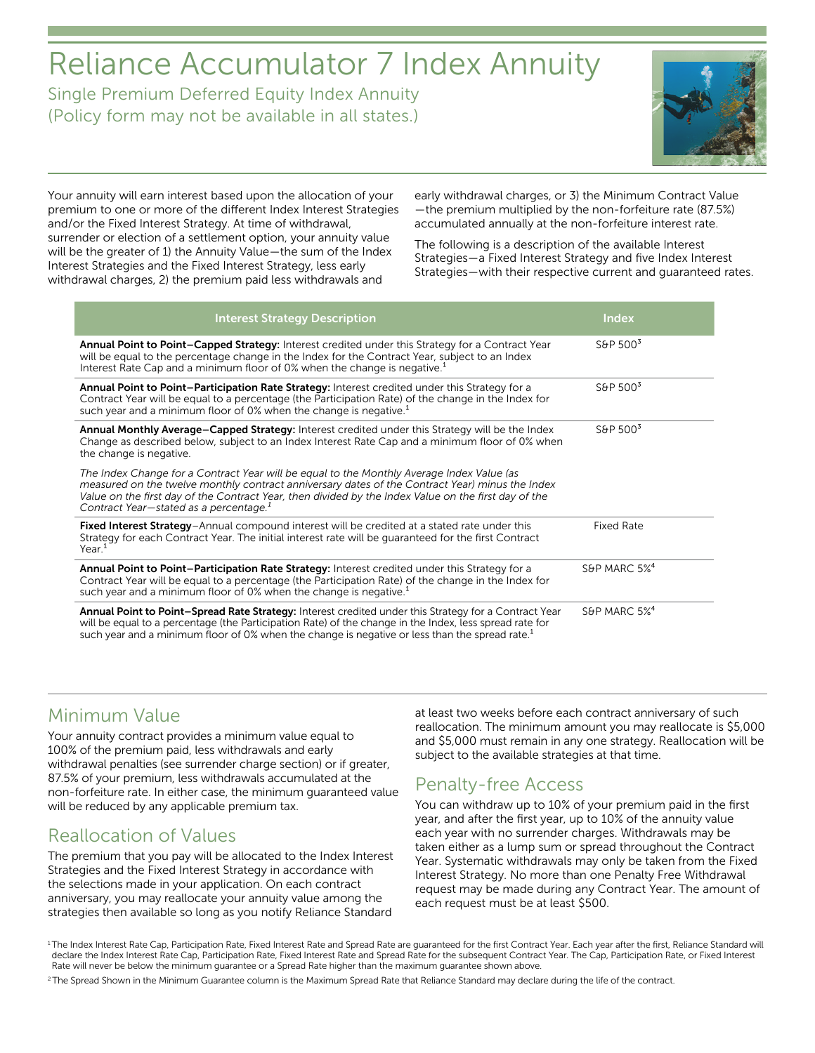# Reliance Accumulator 7 Index Annuity

Single Premium Deferred Equity Index Annuity (Policy form may not be available in all states.)



Your annuity will earn interest based upon the allocation of your premium to one or more of the different Index Interest Strategies and/or the Fixed Interest Strategy. At time of withdrawal, surrender or election of a settlement option, your annuity value will be the greater of 1) the Annuity Value—the sum of the Index Interest Strategies and the Fixed Interest Strategy, less early withdrawal charges, 2) the premium paid less withdrawals and

early withdrawal charges, or 3) the Minimum Contract Value —the premium multiplied by the non-forfeiture rate (87.5%) accumulated annually at the non-forfeiture interest rate.

The following is a description of the available Interest Strategies—a Fixed Interest Strategy and five Index Interest Strategies—with their respective current and guaranteed rates.

| <b>Interest Strategy Description</b>                                                                                                                                                                                                                                                                                                                       | <b>Index</b>             |
|------------------------------------------------------------------------------------------------------------------------------------------------------------------------------------------------------------------------------------------------------------------------------------------------------------------------------------------------------------|--------------------------|
| <b>Annual Point to Point-Capped Strategy:</b> Interest credited under this Strategy for a Contract Year<br>will be equal to the percentage change in the Index for the Contract Year, subject to an Index<br>Interest Rate Cap and a minimum floor of 0% when the change is negative. <sup>1</sup>                                                         | S&P $5003$               |
| Annual Point to Point-Participation Rate Strategy: Interest credited under this Strategy for a<br>Contract Year will be equal to a percentage (the Participation Rate) of the change in the Index for<br>such year and a minimum floor of 0% when the change is negative. <sup>1</sup>                                                                     | S&P $5003$               |
| Annual Monthly Average-Capped Strategy: Interest credited under this Strategy will be the Index<br>Change as described below, subject to an Index Interest Rate Cap and a minimum floor of 0% when<br>the change is negative.                                                                                                                              | S&P $5003$               |
| The Index Change for a Contract Year will be equal to the Monthly Average Index Value (as<br>measured on the twelve monthly contract anniversary dates of the Contract Year) minus the Index<br>Value on the first day of the Contract Year, then divided by the Index Value on the first day of the<br>Contract Year-stated as a percentage. <sup>1</sup> |                          |
| Fixed Interest Strategy-Annual compound interest will be credited at a stated rate under this<br>Strategy for each Contract Year. The initial interest rate will be quaranteed for the first Contract<br>Year <sup>1</sup>                                                                                                                                 | <b>Fixed Rate</b>        |
| Annual Point to Point-Participation Rate Strategy: Interest credited under this Strategy for a<br>Contract Year will be equal to a percentage (the Participation Rate) of the change in the Index for<br>such year and a minimum floor of 0% when the change is negative. <sup>1</sup>                                                                     | S&P MARC 5% <sup>4</sup> |
| Annual Point to Point-Spread Rate Strategy: Interest credited under this Strategy for a Contract Year<br>will be equal to a percentage (the Participation Rate) of the change in the Index, less spread rate for<br>such year and a minimum floor of 0% when the change is negative or less than the spread rate. <sup>1</sup>                             | S&P MARC 5% <sup>4</sup> |

# Minimum Value

Your annuity contract provides a minimum value equal to 100% of the premium paid, less withdrawals and early withdrawal penalties (see surrender charge section) or if greater, 87.5% of your premium, less withdrawals accumulated at the non-forfeiture rate. In either case, the minimum guaranteed value will be reduced by any applicable premium tax.

# Reallocation of Values

The premium that you pay will be allocated to the Index Interest Strategies and the Fixed Interest Strategy in accordance with the selections made in your application. On each contract anniversary, you may reallocate your annuity value among the strategies then available so long as you notify Reliance Standard

at least two weeks before each contract anniversary of such reallocation. The minimum amount you may reallocate is \$5,000 and \$5,000 must remain in any one strategy. Reallocation will be subject to the available strategies at that time.

# Penalty-free Access

You can withdraw up to 10% of your premium paid in the first year, and after the first year, up to 10% of the annuity value each year with no surrender charges. Withdrawals may be taken either as a lump sum or spread throughout the Contract Year. Systematic withdrawals may only be taken from the Fixed Interest Strategy. No more than one Penalty Free Withdrawal request may be made during any Contract Year. The amount of each request must be at least \$500.

<sup>2</sup> The Spread Shown in the Minimum Guarantee column is the Maximum Spread Rate that Reliance Standard may declare during the life of the contract.

<sup>&</sup>lt;sup>1</sup>The Index Interest Rate Cap, Participation Rate, Fixed Interest Rate and Spread Rate are quaranteed for the first Contract Year. Each year after the first, Reliance Standard will declare the Index Interest Rate Cap, Participation Rate, Fixed Interest Rate and Spread Rate for the subsequent Contract Year. The Cap, Participation Rate, or Fixed Interest Rate will never be below the minimum guarantee or a Spread Rate higher than the maximum guarantee shown above.